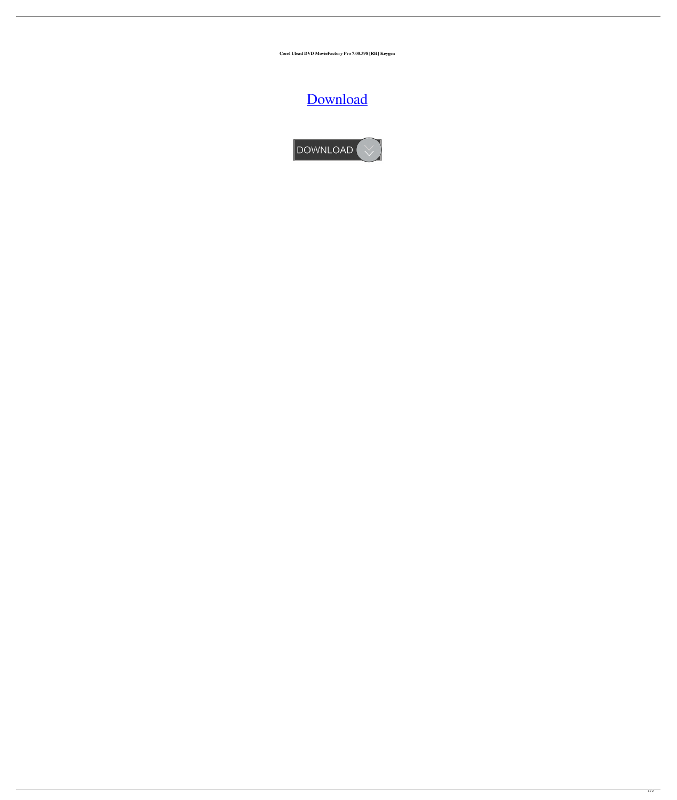**Corel Ulead DVD MovieFactory Pro 7.00.398 [RH] Keygen**

## [Download](http://evacdir.com/autostar/?ZG93bmxvYWR8WHg3TWpkb1pueDhNVFkxTWpjME1EZzJObng4TWpVM05IeDhLRTBwSUhKbFlXUXRZbXh2WnlCYlJtRnpkQ0JIUlU1ZA=paver&papohaku=purr.&Q29yZWwgVWxlYWQgRFZEIE1vdmllRmFjdG9yeSBQcm8gNy4wMC4zOTggW1JIXSBrZXlnZW4Q29=smite)

DOWNLOAD V